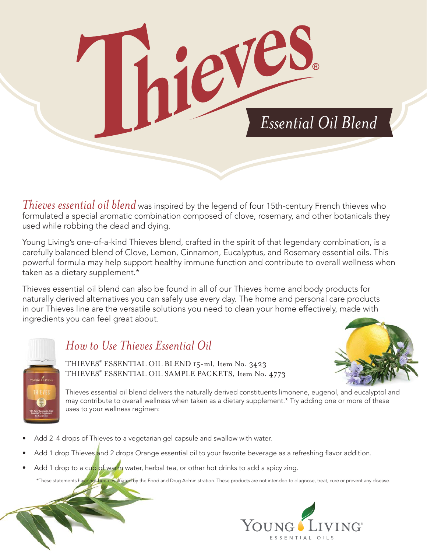

*Thieves essential oil blend* was inspired by the legend of four 15th-century French thieves who formulated a special aromatic combination composed of clove, rosemary, and other botanicals they used while robbing the dead and dying.

Young Living's one-of-a-kind Thieves blend, crafted in the spirit of that legendary combination, is a carefully balanced blend of Clove, Lemon, Cinnamon, Eucalyptus, and Rosemary essential oils. This powerful formula may help support healthy immune function and contribute to overall wellness when taken as a dietary supplement.\*

Thieves essential oil blend can also be found in all of our Thieves home and body products for naturally derived alternatives you can safely use every day. The home and personal care products in our Thieves line are the versatile solutions you need to clean your home effectively, made with ingredients you can feel great about.



## *How to Use Thieves Essential Oil*

THIEVES® ESSENTIAL OIL BLEND 15-ml, Item No. 3423 THIEVES®  $E$ ssential oil sample products, item no.  $1773$ 

Thieves essential oil blend delivers the naturally derived constituents limonene, eugenol, and eucalyptol and may contribute to overall wellness when taken as a dietary supplement.\* Try adding one or more of these uses to your wellness regimen:

- Add 2–4 drops of Thieves to a vegetarian gel capsule and swallow with water.
- r-Add 1 drop Thieves <mark>a</mark>nd 2 drops Orange essential oil to your favorite beverage as a refreshing flavor addition.
- Add 1 drop to a cup of warm water, herbal tea, or other hot drinks to add a spicy zing.

\*These statements have not been evaluated by the Food and Drug Administration. These products are not intended to diagnose, treat, cure or prevent any disease.